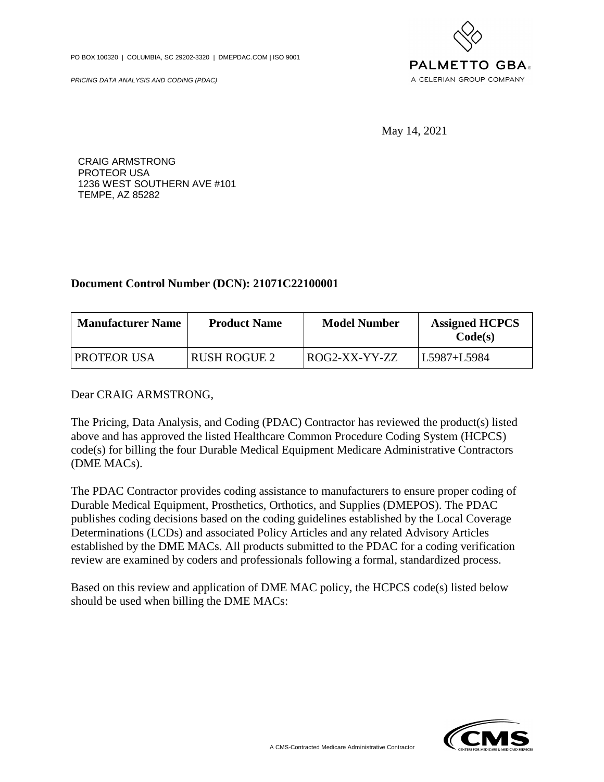PO BOX 100320 | COLUMBIA, SC 29202-3320 | DMEPDAC.COM | ISO 9001

PRICING DATA ANALYSIS AND CODING (PDAC)



May 14, 2021

CRAIG ARMSTRONG PROTEOR USA 1236 WEST SOUTHERN AVE #101 TEMPE, AZ 85282

## **Document Control Number (DCN): 21071C22100001**

| <b>Manufacturer Name</b> | <b>Product Name</b> | <b>Model Number</b> | <b>Assigned HCPCS</b><br>Code(s) |
|--------------------------|---------------------|---------------------|----------------------------------|
| PROTEOR USA              | <b>RUSH ROGUE 2</b> | ROG2-XX-YY-ZZ       | L5987+L5984                      |

## Dear CRAIG ARMSTRONG,

The Pricing, Data Analysis, and Coding (PDAC) Contractor has reviewed the product(s) listed above and has approved the listed Healthcare Common Procedure Coding System (HCPCS) code(s) for billing the four Durable Medical Equipment Medicare Administrative Contractors (DME MACs).

The PDAC Contractor provides coding assistance to manufacturers to ensure proper coding of Durable Medical Equipment, Prosthetics, Orthotics, and Supplies (DMEPOS). The PDAC publishes coding decisions based on the coding guidelines established by the Local Coverage Determinations (LCDs) and associated Policy Articles and any related Advisory Articles established by the DME MACs. All products submitted to the PDAC for a coding verification review are examined by coders and professionals following a formal, standardized process.

Based on this review and application of DME MAC policy, the HCPCS code(s) listed below should be used when billing the DME MACs: